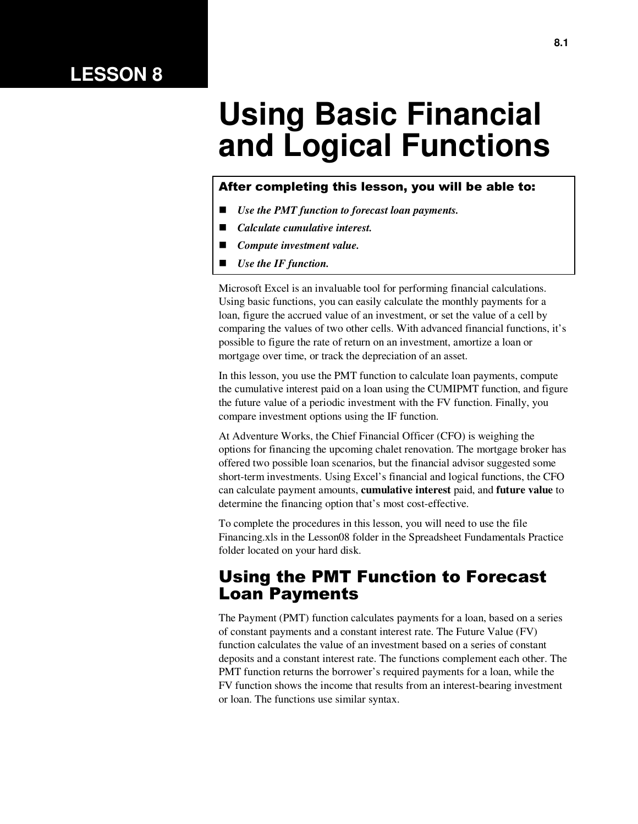# **LESSON 8**

# **Using Basic Financial and Logical Functions**

#### After completing this lesson, you will be able to:

- *Use the PMT function to forecast loan payments.*
- *Calculate cumulative interest.*
- *Compute investment value.*
- *Use the IF function.*

Microsoft Excel is an invaluable tool for performing financial calculations. Using basic functions, you can easily calculate the monthly payments for a loan, figure the accrued value of an investment, or set the value of a cell by comparing the values of two other cells. With advanced financial functions, it's possible to figure the rate of return on an investment, amortize a loan or mortgage over time, or track the depreciation of an asset.

In this lesson, you use the PMT function to calculate loan payments, compute the cumulative interest paid on a loan using the CUMIPMT function, and figure the future value of a periodic investment with the FV function. Finally, you compare investment options using the IF function.

At Adventure Works, the Chief Financial Officer (CFO) is weighing the options for financing the upcoming chalet renovation. The mortgage broker has offered two possible loan scenarios, but the financial advisor suggested some short-term investments. Using Excel's financial and logical functions, the CFO can calculate payment amounts, **cumulative interest** paid, and **future value** to determine the financing option that's most cost-effective.

To complete the procedures in this lesson, you will need to use the file Financing.xls in the Lesson08 folder in the Spreadsheet Fundamentals Practice folder located on your hard disk.

#### Using the PMT Function to Forecast Loan Payments

The Payment (PMT) function calculates payments for a loan, based on a series of constant payments and a constant interest rate. The Future Value (FV) function calculates the value of an investment based on a series of constant deposits and a constant interest rate. The functions complement each other. The PMT function returns the borrower's required payments for a loan, while the FV function shows the income that results from an interest-bearing investment or loan. The functions use similar syntax.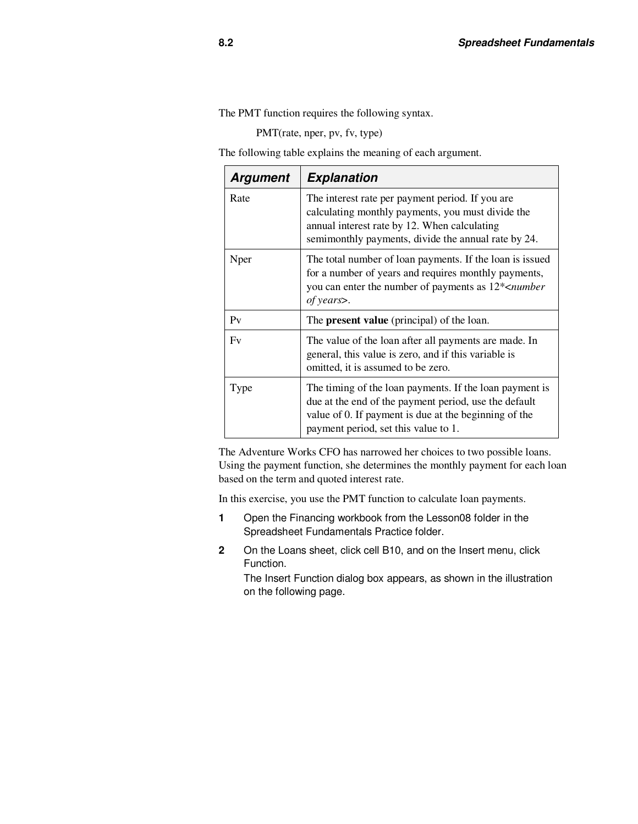The PMT function requires the following syntax.

PMT(rate, nper, pv, fv, type)

The following table explains the meaning of each argument.

| <b>Argument</b> | <b>Explanation</b>                                                                                                                                                                                                |  |  |
|-----------------|-------------------------------------------------------------------------------------------------------------------------------------------------------------------------------------------------------------------|--|--|
| Rate            | The interest rate per payment period. If you are<br>calculating monthly payments, you must divide the<br>annual interest rate by 12. When calculating<br>semimonthly payments, divide the annual rate by 24.      |  |  |
| Nper            | The total number of loan payments. If the loan is issued<br>for a number of years and requires monthly payments,<br>you can enter the number of payments as $12*$ < <i>number</i><br>of years.                    |  |  |
| $P_V$           | The <b>present value</b> (principal) of the loan.                                                                                                                                                                 |  |  |
| F <sub>V</sub>  | The value of the loan after all payments are made. In<br>general, this value is zero, and if this variable is<br>omitted, it is assumed to be zero.                                                               |  |  |
| Type            | The timing of the loan payments. If the loan payment is<br>due at the end of the payment period, use the default<br>value of 0. If payment is due at the beginning of the<br>payment period, set this value to 1. |  |  |

The Adventure Works CFO has narrowed her choices to two possible loans. Using the payment function, she determines the monthly payment for each loan based on the term and quoted interest rate.

In this exercise, you use the PMT function to calculate loan payments.

- **1** Open the Financing workbook from the Lesson08 folder in the Spreadsheet Fundamentals Practice folder.
- **2** On the Loans sheet, click cell B10, and on the Insert menu, click Function.

The Insert Function dialog box appears, as shown in the illustration on the following page.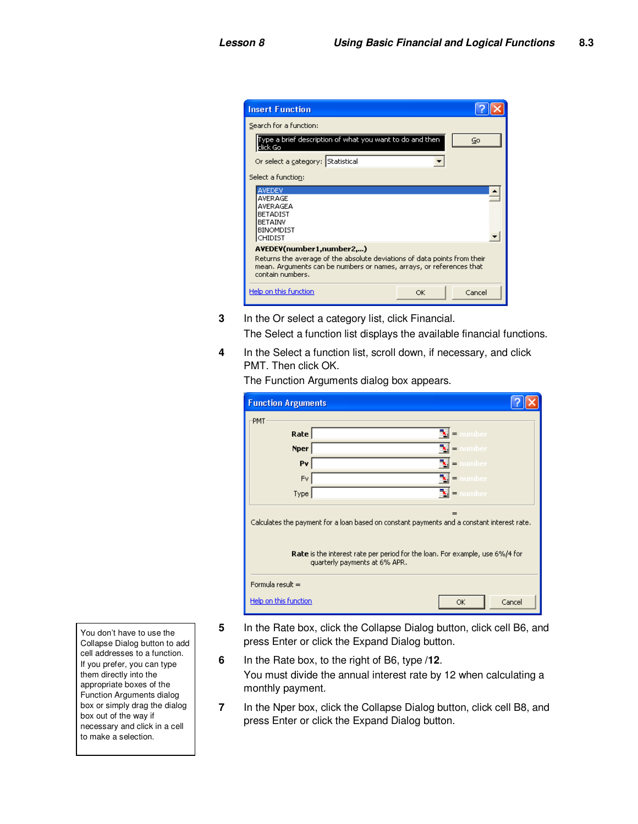| <b>Insert Function</b>                                                                                                                                                                          |    |        |  |
|-------------------------------------------------------------------------------------------------------------------------------------------------------------------------------------------------|----|--------|--|
| Search for a function:                                                                                                                                                                          |    |        |  |
| Type a brief description of what you want to do and then<br>click Go                                                                                                                            |    | Go     |  |
| Or select a category: Statistical                                                                                                                                                               |    |        |  |
| Select a function:                                                                                                                                                                              |    |        |  |
| AVEDEV<br>AVERAGE<br>AVERAGEA<br><b>BETADIST</b><br><b>BETAINV</b><br><b>BINOMDIST</b><br>CHIDIST                                                                                               |    |        |  |
| AVEDEV(number1,number2,)<br>Returns the average of the absolute deviations of data points from their<br>mean. Arguments can be numbers or names, arrays, or references that<br>contain numbers. |    |        |  |
| Help on this function                                                                                                                                                                           | OK | Cancel |  |

- **3** In the Or select a category list, click Financial. The Select a function list displays the available financial functions.
- **4** In the Select a function list, scroll down, if necessary, and click PMT. Then click OK.

| <b>Function Arguments</b>                                                                                                                                                                                        |               |  |  |  |  |  |
|------------------------------------------------------------------------------------------------------------------------------------------------------------------------------------------------------------------|---------------|--|--|--|--|--|
| PMT                                                                                                                                                                                                              |               |  |  |  |  |  |
| Rate                                                                                                                                                                                                             | number<br>$=$ |  |  |  |  |  |
| <b>Nper</b>                                                                                                                                                                                                      | number<br>$=$ |  |  |  |  |  |
| Pv                                                                                                                                                                                                               | number<br>$=$ |  |  |  |  |  |
| <b>Fv</b>                                                                                                                                                                                                        | number<br>$=$ |  |  |  |  |  |
| Type                                                                                                                                                                                                             | ™ -<br>number |  |  |  |  |  |
| =<br>Calculates the payment for a loan based on constant payments and a constant interest rate.<br>Rate is the interest rate per period for the loan. For example, use 6%/4 for<br>quarterly payments at 6% APR. |               |  |  |  |  |  |
| Formula result =                                                                                                                                                                                                 |               |  |  |  |  |  |
| Help on this function                                                                                                                                                                                            | Cancel<br>OK  |  |  |  |  |  |

The Function Arguments dialog box appears.

You don't have to use the Collapse Dialog button to add cell addresses to a function. If you prefer, you can type them directly into the appropriate boxes of the Function Arguments dialog box or simply drag the dialog box out of the way if necessary and click in a cell to make a selection.

- **5** In the Rate box, click the Collapse Dialog button, click cell B6, and press Enter or click the Expand Dialog button.
- **6** In the Rate box, to the right of B6, type **/12**. You must divide the annual interest rate by 12 when calculating a monthly payment.
- **7** In the Nper box, click the Collapse Dialog button, click cell B8, and press Enter or click the Expand Dialog button.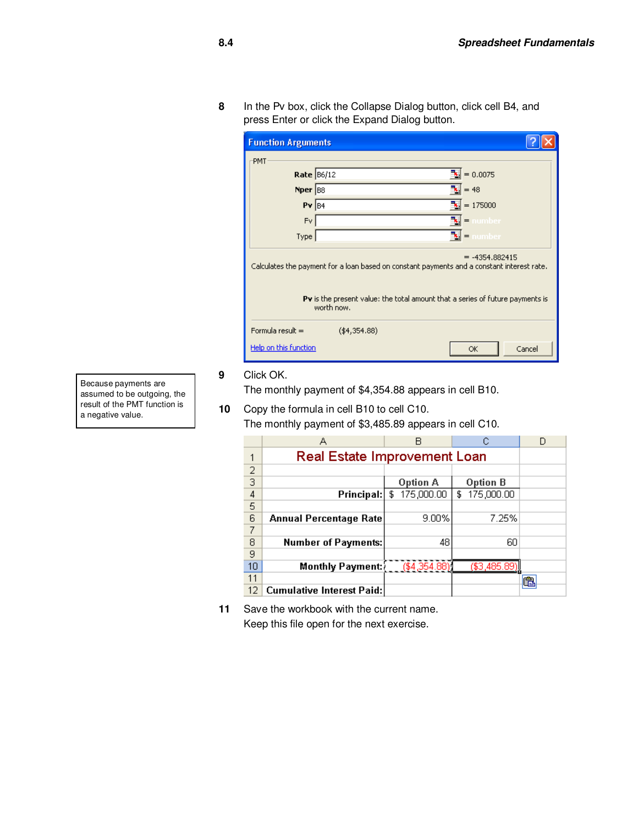**8** In the Pv box, click the Collapse Dialog button, click cell B4, and press Enter or click the Expand Dialog button.

| <b>Function Arguments</b>                                                                                      |                                                                                                    |                                                 |  |  |
|----------------------------------------------------------------------------------------------------------------|----------------------------------------------------------------------------------------------------|-------------------------------------------------|--|--|
| PMT                                                                                                            |                                                                                                    |                                                 |  |  |
| Rate 86/12                                                                                                     |                                                                                                    | $\frac{1}{2}$ = 0.0075                          |  |  |
| Nper 88                                                                                                        |                                                                                                    | $= 48$                                          |  |  |
| $PV$ $B4$                                                                                                      |                                                                                                    | ٦.<br>$= 175000$                                |  |  |
| Fv.                                                                                                            |                                                                                                    | number<br>$\qquad \qquad =$                     |  |  |
| Type                                                                                                           |                                                                                                    | $\left\Vert \mathbf{x}\right\Vert =1$<br>number |  |  |
| $= -4354.882415$<br>Calculates the payment for a loan based on constant payments and a constant interest rate. |                                                                                                    |                                                 |  |  |
|                                                                                                                | <b>Pv</b> is the present value: the total amount that a series of future payments is<br>worth now. |                                                 |  |  |
| Formula result =                                                                                               | (44, 354.88)                                                                                       |                                                 |  |  |
| Help on this function                                                                                          |                                                                                                    | Cancel<br>OK                                    |  |  |

Because payments are assumed to be outgoing, the result of the PMT function is a negative value.

**9** Click OK.

The monthly payment of \$4,354.88 appears in cell B10.

**10** Copy the formula in cell B10 to cell C10. The monthly payment of \$3,485.89 appears in cell C10.

|                | А                                | В               | С               |  |
|----------------|----------------------------------|-----------------|-----------------|--|
|                | Real Estate Improvement Loan     |                 |                 |  |
| $\overline{c}$ |                                  |                 |                 |  |
| $\overline{3}$ |                                  | Option A        | Option B        |  |
| 4              | Principal:                       | 175,000.00<br>£ | 175,000.00<br>£ |  |
| 5              |                                  |                 |                 |  |
| 6              | Annual Percentage Rate           | 9.00%           | 7.25%           |  |
| 7              |                                  |                 |                 |  |
| 8              | <b>Number of Payments:</b>       | 48              | 60              |  |
| 9              |                                  |                 |                 |  |
| 10             | Monthly Payment:                 | ( \$4,354.88)   | (\$3,485.89)    |  |
| 11             |                                  |                 |                 |  |
| 12             | <b>Cumulative Interest Paid:</b> |                 |                 |  |

**11** Save the workbook with the current name. Keep this file open for the next exercise.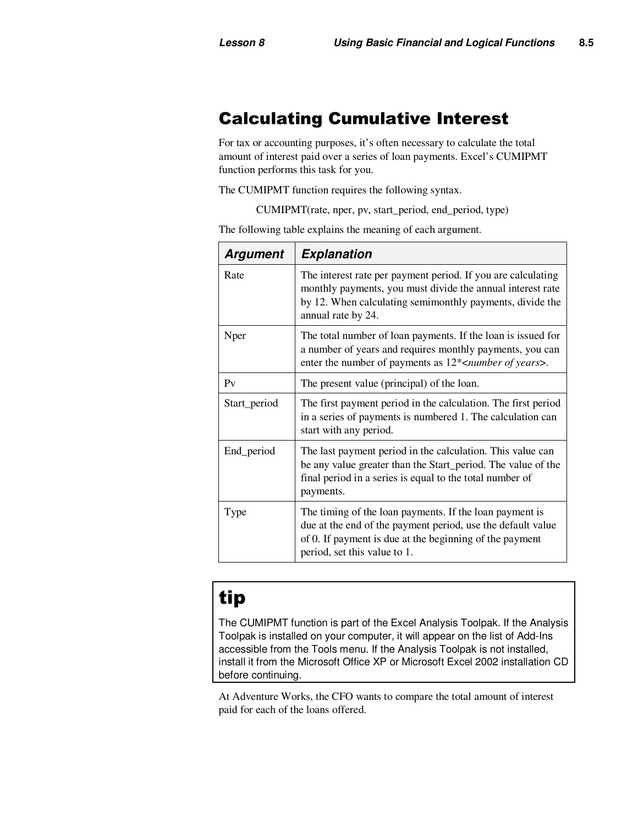# Calculating Cumulative Interest

For tax or accounting purposes, it's often necessary to calculate the total amount of interest paid over a series of loan payments. Excel's CUMIPMT function performs this task for you.

The CUMIPMT function requires the following syntax.

CUMIPMT(rate, nper, pv, start\_period, end\_period, type)

**Argument Explanation**  Rate The interest rate per payment period. If you are calculating monthly payments, you must divide the annual interest rate by 12. When calculating semimonthly payments, divide the annual rate by 24. Nper The total number of loan payments. If the loan is issued for a number of years and requires monthly payments, you can enter the number of payments as 12\*<*number of years*>. Pv The present value (principal) of the loan. Start\_period The first payment period in the calculation. The first period in a series of payments is numbered 1. The calculation can start with any period. End<sub>period</sub> The last payment period in the calculation. This value can be any value greater than the Start\_period. The value of the final period in a series is equal to the total number of payments. Type Type The timing of the loan payments. If the loan payment is due at the end of the payment period, use the default value of 0. If payment is due at the beginning of the payment period, set this value to 1.

The following table explains the meaning of each argument.

# tip

The CUMIPMT function is part of the Excel Analysis Toolpak. If the Analysis Toolpak is installed on your computer, it will appear on the list of Add-Ins accessible from the Tools menu. If the Analysis Toolpak is not installed, install it from the Microsoft Office XP or Microsoft Excel 2002 installation CD before continuing.

At Adventure Works, the CFO wants to compare the total amount of interest paid for each of the loans offered.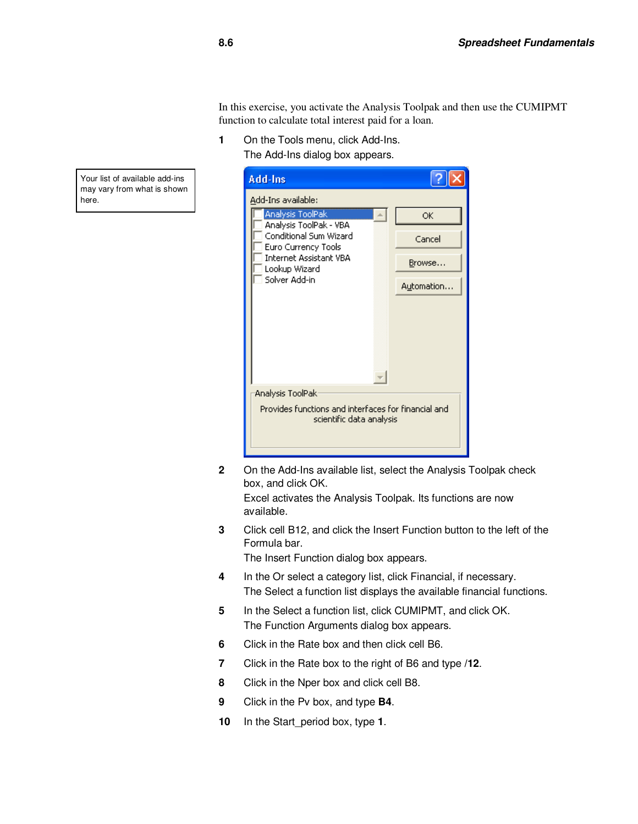In this exercise, you activate the Analysis Toolpak and then use the CUMIPMT function to calculate total interest paid for a loan.

**1** On the Tools menu, click Add-Ins. The Add-Ins dialog box appears.



**2** On the Add-Ins available list, select the Analysis Toolpak check box, and click OK.

Excel activates the Analysis Toolpak. Its functions are now available.

**3** Click cell B12, and click the Insert Function button to the left of the Formula bar.

The Insert Function dialog box appears.

- **4** In the Or select a category list, click Financial, if necessary. The Select a function list displays the available financial functions.
- **5** In the Select a function list, click CUMIPMT, and click OK. The Function Arguments dialog box appears.
- **6** Click in the Rate box and then click cell B6.
- **7** Click in the Rate box to the right of B6 and type **/12**.
- **8** Click in the Nper box and click cell B8.
- **9** Click in the Pv box, and type **B4**.
- **10** In the Start\_period box, type **1**.

Your list of available add-ins may vary from what is shown here.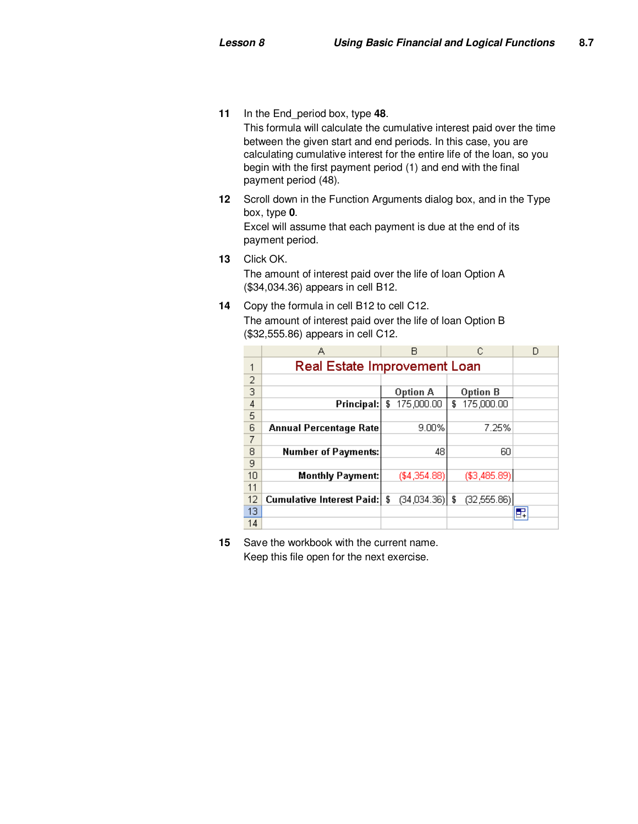- **11** In the End\_period box, type **48**. This formula will calculate the cumulative interest paid over the time between the given start and end periods. In this case, you are calculating cumulative interest for the entire life of the loan, so you begin with the first payment period (1) and end with the final payment period (48).
- **12** Scroll down in the Function Arguments dialog box, and in the Type box, type **0**.

Excel will assume that each payment is due at the end of its payment period.

**13** Click OK.

The amount of interest paid over the life of loan Option A (\$34,034.36) appears in cell B12.

**14** Copy the formula in cell B12 to cell C12. The amount of interest paid over the life of loan Option B (\$32,555.86) appears in cell C12.

|    | А                                | R                 | С                 | Đ  |
|----|----------------------------------|-------------------|-------------------|----|
|    | Real Estate Improvement Loan     |                   |                   |    |
| 2  |                                  |                   |                   |    |
| 3  |                                  | Option A          | Option B          |    |
| 4  | Principal:                       | 175,000.00<br>£   | 175,000.00<br>£   |    |
| 5  |                                  |                   |                   |    |
| 6  | Annual Percentage Rate           | 9.00%             | 7.25%             |    |
| 7  |                                  |                   |                   |    |
| 8  | <b>Number of Payments:</b>       | 48                | 60                |    |
| 9  |                                  |                   |                   |    |
| 10 | Monthly Payment:                 | (\$4,354.88)      | (\$3,485.89)      |    |
| 11 |                                  |                   |                   |    |
| 12 | <b>Cumulative Interest Paid:</b> | (34,034,36)<br>\$ | (32, 555.86)<br>£ |    |
| 13 |                                  |                   |                   | e. |
| 14 |                                  |                   |                   |    |

**15** Save the workbook with the current name. Keep this file open for the next exercise.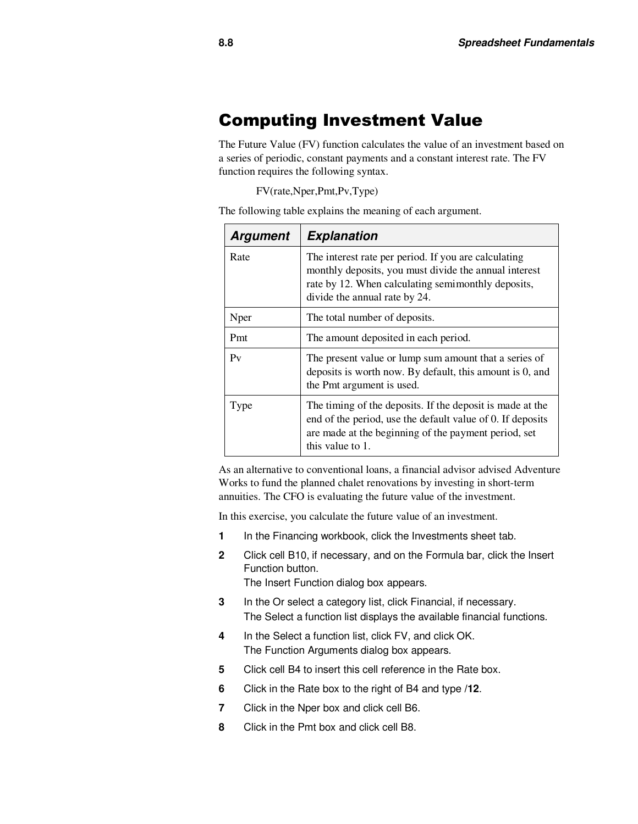#### Computing Investment Value

The Future Value (FV) function calculates the value of an investment based on a series of periodic, constant payments and a constant interest rate. The FV function requires the following syntax.

FV(rate,Nper,Pmt,Pv,Type)

The following table explains the meaning of each argument.

| <b>Argument</b> | <b>Explanation</b>                                                                                                                                                                                   |  |
|-----------------|------------------------------------------------------------------------------------------------------------------------------------------------------------------------------------------------------|--|
| Rate            | The interest rate per period. If you are calculating<br>monthly deposits, you must divide the annual interest<br>rate by 12. When calculating semimonthly deposits,<br>divide the annual rate by 24. |  |
| Nper            | The total number of deposits.                                                                                                                                                                        |  |
| Pmt             | The amount deposited in each period.                                                                                                                                                                 |  |
| P <sub>V</sub>  | The present value or lump sum amount that a series of<br>deposits is worth now. By default, this amount is 0, and<br>the Pmt argument is used.                                                       |  |
| Type            | The timing of the deposits. If the deposit is made at the<br>end of the period, use the default value of 0. If deposits<br>are made at the beginning of the payment period, set<br>this value to 1.  |  |

As an alternative to conventional loans, a financial advisor advised Adventure Works to fund the planned chalet renovations by investing in short-term annuities. The CFO is evaluating the future value of the investment.

In this exercise, you calculate the future value of an investment.

- **1** In the Financing workbook, click the Investments sheet tab.
- **2** Click cell B10, if necessary, and on the Formula bar, click the Insert Function button.

The Insert Function dialog box appears.

- **3** In the Or select a category list, click Financial, if necessary. The Select a function list displays the available financial functions.
- **4** In the Select a function list, click FV, and click OK. The Function Arguments dialog box appears.
- **5** Click cell B4 to insert this cell reference in the Rate box.
- **6** Click in the Rate box to the right of B4 and type **/12**.
- **7** Click in the Nper box and click cell B6.
- **8** Click in the Pmt box and click cell B8.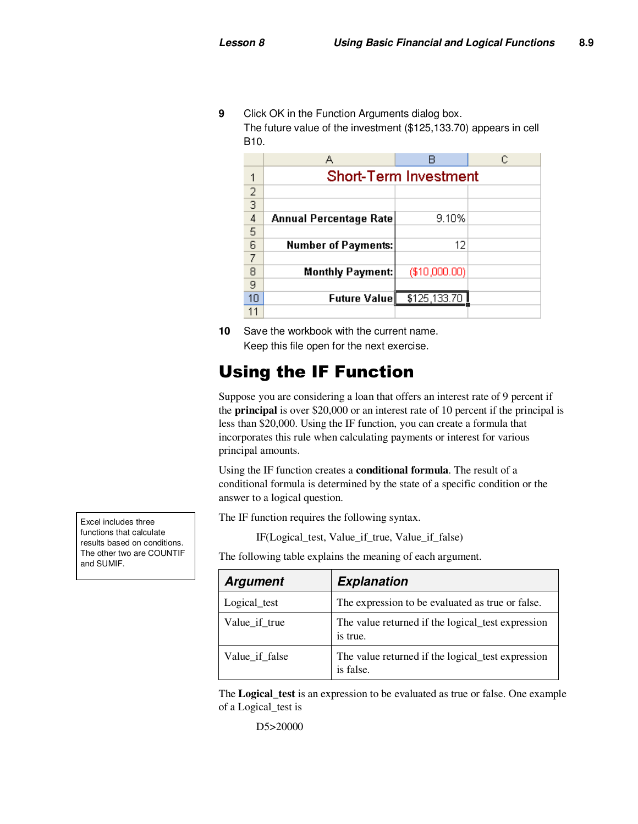**9** Click OK in the Function Arguments dialog box. The future value of the investment (\$125,133.70) appears in cell B10.

|    | А                            |               | С |  |  |
|----|------------------------------|---------------|---|--|--|
|    | <b>Short-Term Investment</b> |               |   |  |  |
| 2  |                              |               |   |  |  |
| 3  |                              |               |   |  |  |
| 4  | Annual Percentage Rate       | 9.10%         |   |  |  |
| 5  |                              |               |   |  |  |
| 6  | <b>Number of Payments:</b>   | 12            |   |  |  |
| 7  |                              |               |   |  |  |
| 8  | <b>Monthly Payment:</b>      | (\$10,000.00) |   |  |  |
| 9  |                              |               |   |  |  |
| 10 | Future Value∥                | \$125,133.70  |   |  |  |
|    |                              |               |   |  |  |

**10** Save the workbook with the current name. Keep this file open for the next exercise.

# Using the IF Function

Suppose you are considering a loan that offers an interest rate of 9 percent if the **principal** is over \$20,000 or an interest rate of 10 percent if the principal is less than \$20,000. Using the IF function, you can create a formula that incorporates this rule when calculating payments or interest for various principal amounts.

Using the IF function creates a **conditional formula**. The result of a conditional formula is determined by the state of a specific condition or the answer to a logical question.

The IF function requires the following syntax.

IF(Logical\_test, Value\_if\_true, Value\_if\_false)

The following table explains the meaning of each argument.

| <b>Argument</b> | <b>Explanation</b>                                             |
|-----------------|----------------------------------------------------------------|
| Logical_test    | The expression to be evaluated as true or false.               |
| Value if true   | The value returned if the logical test expression<br>is true.  |
| Value_if_false  | The value returned if the logical test expression<br>is false. |

The **Logical\_test** is an expression to be evaluated as true or false. One example of a Logical\_test is

D5>20000

Excel includes three functions that calculate results based on conditions. The other two are COUNTIF and SUMIF.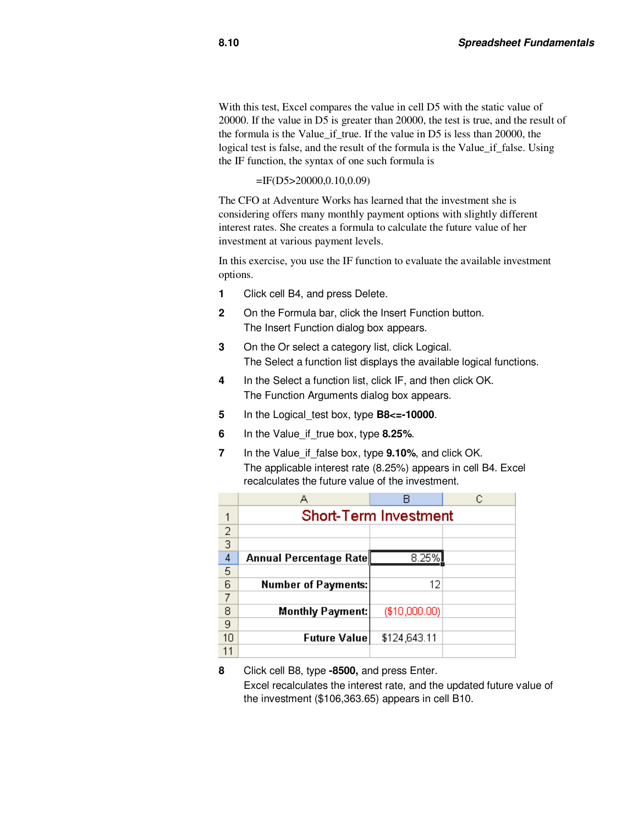With this test, Excel compares the value in cell D5 with the static value of 20000. If the value in D5 is greater than 20000, the test is true, and the result of the formula is the Value if true. If the value in D5 is less than 20000, the logical test is false, and the result of the formula is the Value if false. Using the IF function, the syntax of one such formula is

#### =IF(D5>20000,0.10,0.09)

The CFO at Adventure Works has learned that the investment she is considering offers many monthly payment options with slightly different interest rates. She creates a formula to calculate the future value of her investment at various payment levels.

In this exercise, you use the IF function to evaluate the available investment options.

- **1** Click cell B4, and press Delete.
- **2** On the Formula bar, click the Insert Function button. The Insert Function dialog box appears.
- **3** On the Or select a category list, click Logical. The Select a function list displays the available logical functions.
- **4** In the Select a function list, click IF, and then click OK. The Function Arguments dialog box appears.
- **5** In the Logical\_test box, type **B8<=-10000**.
- **6** In the Value\_if\_true box, type **8.25%**.
- **7** In the Value\_if\_false box, type **9.10%**, and click OK. The applicable interest rate (8.25%) appears in cell B4. Excel recalculates the future value of the investment.

|                | А                            |               |  |  |
|----------------|------------------------------|---------------|--|--|
| 1              | <b>Short-Term Investment</b> |               |  |  |
| $\overline{2}$ |                              |               |  |  |
| $\overline{3}$ |                              |               |  |  |
| 4              | Annual Percentage Rate       | 8.25%         |  |  |
| 5              |                              |               |  |  |
| $\overline{6}$ | <b>Number of Payments:</b>   | 12            |  |  |
| 7              |                              |               |  |  |
| 8              | <b>Monthly Payment:</b>      | (\$10,000.00) |  |  |
| 9              |                              |               |  |  |
| 10             | <b>Future Value</b>          | \$124,643.11  |  |  |
|                |                              |               |  |  |

**<sup>8</sup>** Click cell B8, type **-8500,** and press Enter. Excel recalculates the interest rate, and the updated future value of the investment (\$106,363.65) appears in cell B10.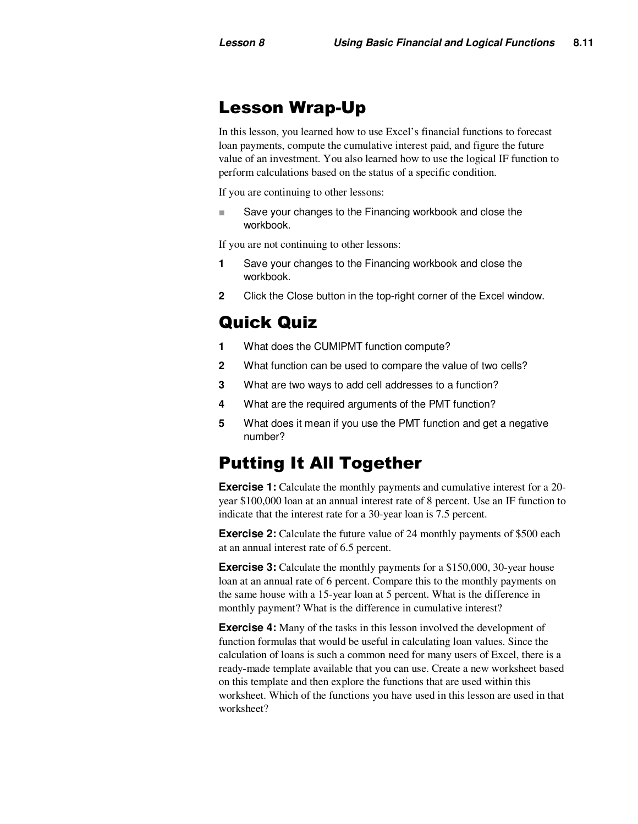## Lesson Wrap-Up

In this lesson, you learned how to use Excel's financial functions to forecast loan payments, compute the cumulative interest paid, and figure the future value of an investment. You also learned how to use the logical IF function to perform calculations based on the status of a specific condition.

If you are continuing to other lessons:

Save your changes to the Financing workbook and close the workbook.

If you are not continuing to other lessons:

- **1** Save your changes to the Financing workbook and close the workbook.
- **2** Click the Close button in the top-right corner of the Excel window.

# Quick Quiz

- **1** What does the CUMIPMT function compute?
- **2** What function can be used to compare the value of two cells?
- **3** What are two ways to add cell addresses to a function?
- **4** What are the required arguments of the PMT function?
- **5** What does it mean if you use the PMT function and get a negative number?

### Putting It All Together

**Exercise 1:** Calculate the monthly payments and cumulative interest for a 20year \$100,000 loan at an annual interest rate of 8 percent. Use an IF function to indicate that the interest rate for a 30-year loan is 7.5 percent.

**Exercise 2:** Calculate the future value of 24 monthly payments of \$500 each at an annual interest rate of 6.5 percent.

**Exercise 3:** Calculate the monthly payments for a \$150,000, 30-year house loan at an annual rate of 6 percent. Compare this to the monthly payments on the same house with a 15-year loan at 5 percent. What is the difference in monthly payment? What is the difference in cumulative interest?

**Exercise 4:** Many of the tasks in this lesson involved the development of function formulas that would be useful in calculating loan values. Since the calculation of loans is such a common need for many users of Excel, there is a ready-made template available that you can use. Create a new worksheet based on this template and then explore the functions that are used within this worksheet. Which of the functions you have used in this lesson are used in that worksheet?